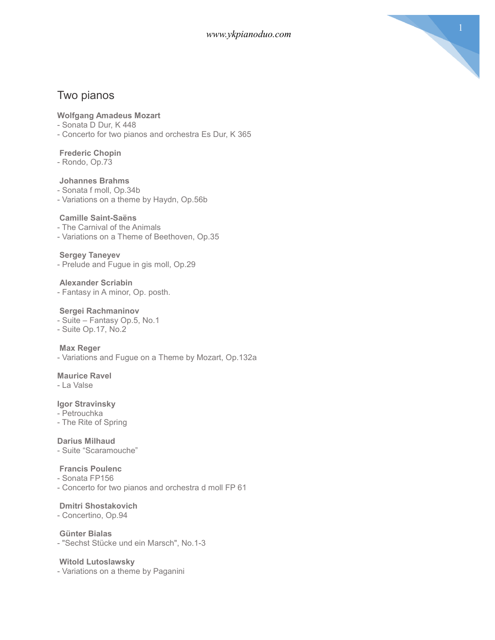

# Two pianos

## **Wolfgang Amadeus Mozart**

- Sonata D Dur, K 448
- Concerto for two pianos and orchestra Es Dur, K 365

## **Frederic Chopin**

- Rondo, Op.73

### **Johannes Brahms**

- Sonata f moll, Op.34b
- Variations on a theme by Haydn, Op.56b

## **Camille Saint-Saëns**

- The Carnival of the Animals
- Variations on a Theme of Beethoven, Op.35

### **Sergey Taneyev**

- Prelude and Fugue in gis moll, Op.29

### **Alexander Scriabin**

- Fantasy in A minor, Op. posth.

### **Sergei Rachmaninov**

- Suite Fantasy Op.5, No.1
- Suite Op.17, No.2

### **Max Reger**

- Variations and Fugue on a Theme by Mozart, Op.132a

### **Maurice Ravel**

- La Valse

## **Igor Stravinsky**

- Petrouchka
- The Rite of Spring

## **Darius Milhaud**

- Suite "Scaramouche"

## **Francis Poulenc**

- Sonata FP156
- Concerto for two pianos and orchestra d moll FP 61

# **Dmitri Shostakovich**

- Concertino, Op.94

## **Günter Bialas**

- "Sechst Stücke und ein Marsch", No.1-3

## **Witold Lutoslawsky**

- Variations on a theme by Paganini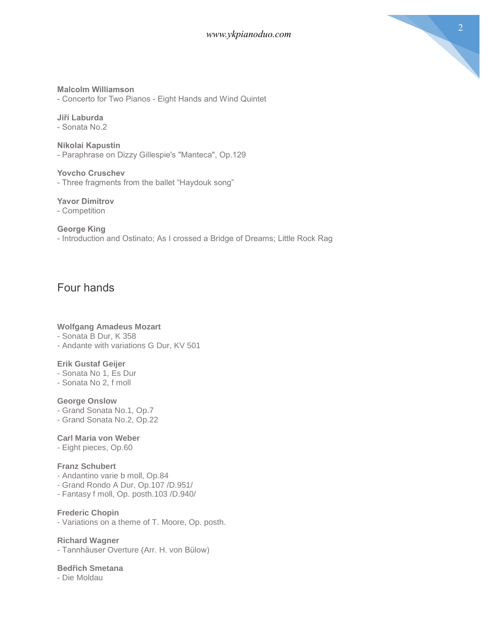

## **Malcolm Williamson**

- Concerto for Two Pianos - Eight Hands and Wind Quintet

**Jiří Laburda** - Sonata No.2

**Nikolai Kapustin** - Paraphrase on Dizzy Gillespie's "Manteca", Op.129

**Yovcho Cruschev** - Three fragments from the ballet "Haydouk song"

## **Yavor Dimitrov**

- Competition

### **George King**

- Introduction and Ostinato; As I crossed a Bridge of Dreams; Little Rock Rag

# Four hands

### **Wolfgang Amadeus Mozart**

- Sonata B Dur, K 358
- Andante with variations G Dur, KV 501

### **Erik Gustaf Geijer**

- Sonata No 1, Es Dur
- Sonata No 2, f moll

### **George Onslow**

- Grand Sonata No.1, Op.7
- Grand Sonata No.2, Op.22

### **Carl Maria von Weber**

- Eight pieces, Op.60

## **Franz Schubert**

- Andantino varie b moll, Op.84
- Grand Rondo A Dur, Op.107 /D.951/
- Fantasy f moll, Op. posth.103 /D.940/

### **Frederic Chopin**

- Variations on a theme of T. Moore, Op. posth.

### **Richard Wagner**

- Tannhäuser Overture (Arr. H. von Bülow)

## **Bedřich Smetana**

- Die Moldau